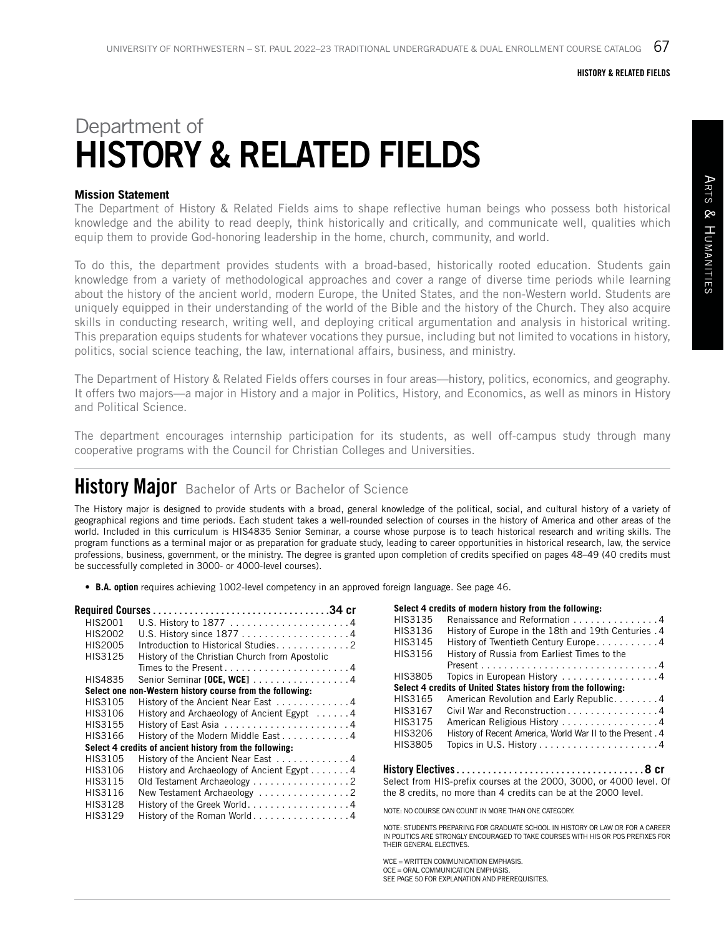#### HISTORY & RELATED FIELDS

# Department of HISTORY & RELATED FIELDS

### **Mission Statement**

The Department of History & Related Fields aims to shape reflective human beings who possess both historical knowledge and the ability to read deeply, think historically and critically, and communicate well, qualities which equip them to provide God-honoring leadership in the home, church, community, and world.

To do this, the department provides students with a broad-based, historically rooted education. Students gain knowledge from a variety of methodological approaches and cover a range of diverse time periods while learning about the history of the ancient world, modern Europe, the United States, and the non-Western world. Students are uniquely equipped in their understanding of the world of the Bible and the history of the Church. They also acquire skills in conducting research, writing well, and deploying critical argumentation and analysis in historical writing. This preparation equips students for whatever vocations they pursue, including but not limited to vocations in history, politics, social science teaching, the law, international affairs, business, and ministry.

The Department of History & Related Fields offers courses in four areas—history, politics, economics, and geography. It offers two majors—a major in History and a major in Politics, History, and Economics, as well as minors in History and Political Science.

The department encourages internship participation for its students, as well off-campus study through many cooperative programs with the Council for Christian Colleges and Universities.

# **History Major** Bachelor of Arts or Bachelor of Science

The History major is designed to provide students with a broad, general knowledge of the political, social, and cultural history of a variety of geographical regions and time periods. Each student takes a well-rounded selection of courses in the history of America and other areas of the world. Included in this curriculum is HIS4835 Senior Seminar, a course whose purpose is to teach historical research and writing skills. The program functions as a terminal major or as preparation for graduate study, leading to career opportunities in historical research, law, the service professions, business, government, or the ministry. The degree is granted upon completion of credits specified on pages 48–49 (40 credits must be successfully completed in 3000- or 4000-level courses).

• **B.A. option** requires achieving 1002-level competency in an approved foreign language. See page 46.

| HIS2001 |                                                           |
|---------|-----------------------------------------------------------|
| HIS2002 |                                                           |
| HIS2005 | Introduction to Historical Studies. 2                     |
| HIS3125 | History of the Christian Church from Apostolic            |
|         |                                                           |
| HIS4835 | Senior Seminar [OCE, WCE] 4                               |
|         | Select one non-Western history course from the following: |
| HIS3105 | History of the Ancient Near East 4                        |
| HIS3106 | History and Archaeology of Ancient Egypt 4                |
| HIS3155 |                                                           |
| HIS3166 | History of the Modern Middle East 4                       |
|         | Select 4 credits of ancient history from the following:   |
| HIS3105 | History of the Ancient Near East 4                        |
| HIS3106 | History and Archaeology of Ancient Egypt 4                |
| HIS3115 | Old Testament Archaeology 2                               |
| HIS3116 | New Testament Archaeology 2                               |
| HIS3128 | History of the Greek World. 4                             |
| HIS3129 | History of the Roman World4                               |
|         |                                                           |

#### **Select 4 credits of modern history from the following:**

| HIS3135           | Renaissance and Reformation 4                                 |
|-------------------|---------------------------------------------------------------|
| HIS3136           | History of Europe in the 18th and 19th Centuries . 4          |
| HIS3145           | History of Twentieth Century Europe4                          |
| HIS3156           | History of Russia from Earliest Times to the                  |
|                   |                                                               |
| HIS3805           | Topics in European History 4                                  |
|                   | Select 4 credits of United States history from the following: |
| HIS3165           | American Revolution and Early Republic4                       |
| HIS3167           | Civil War and Reconstruction 4                                |
| HIS3175           | American Religious History 4                                  |
| HIS3206           | History of Recent America, World War II to the Present . 4    |
| HIS3805           |                                                               |
|                   |                                                               |
| History Flectives | ጻ cr                                                          |

History Electives. . **8 cr** Select from HIS-prefix courses at the 2000, 3000, or 4000 level. Of the 8 credits, no more than 4 credits can be at the 2000 level.

NOTE: NO COURSE CAN COUNT IN MORE THAN ONE CATEGORY.

NOTE: STUDENTS PREPARING FOR GRADUATE SCHOOL IN HISTORY OR LAW OR FOR A CAREER IN POLITICS ARE STRONGLY ENCOURAGED TO TAKE COURSES WITH HIS OR POS PREFIXES FOR THEIR GENERAL ELECTIVES.

WCE = WRITTEN COMMUNICATION EMPHASIS. OCE = ORAL COMMUNICATION EMPHASIS. SEE PAGE 50 FOR EXPLANATION AND PREREQUISITES.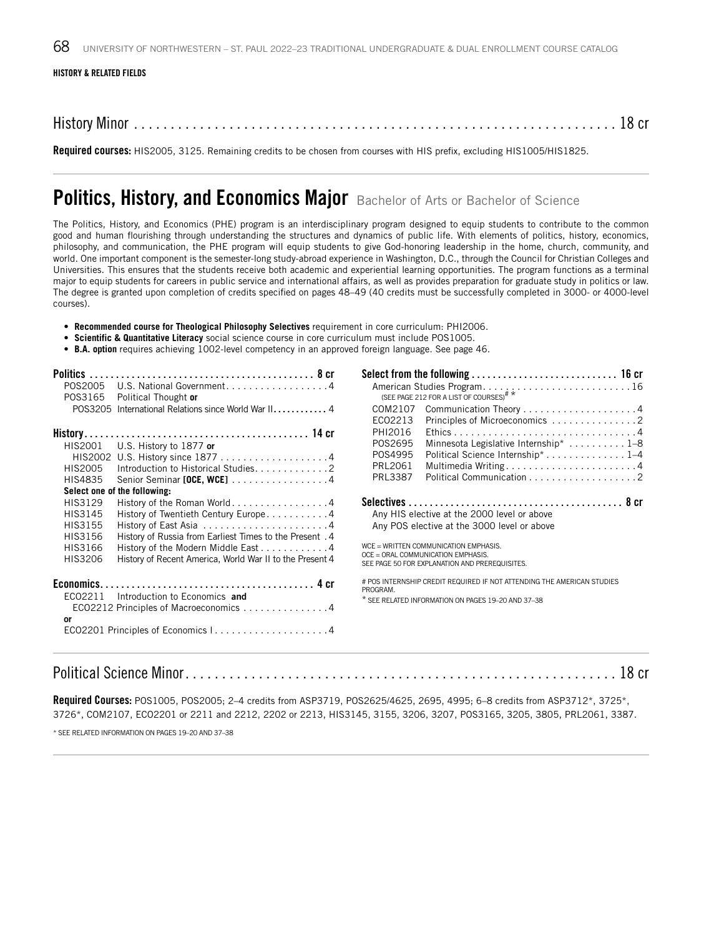#### HISTORY & RELATED FIELDS

History Minor . . . . . . . . . . . . . . . . . . . . . . . . . . . . . . . . . . . . . . . . . . . . . . . . . . . . . . . . . . . . . . . . . . 18 cr

Required courses: HIS2005, 3125. Remaining credits to be chosen from courses with HIS prefix, excluding HIS1005/HIS1825.

## Politics, History, and Economics Major Bachelor of Arts or Bachelor of Science

The Politics, History, and Economics (PHE) program is an interdisciplinary program designed to equip students to contribute to the common good and human flourishing through understanding the structures and dynamics of public life. With elements of politics, history, economics, philosophy, and communication, the PHE program will equip students to give God-honoring leadership in the home, church, community, and world. One important component is the semester-long study-abroad experience in Washington, D.C., through the Council for Christian Colleges and Universities. This ensures that the students receive both academic and experiential learning opportunities. The program functions as a terminal major to equip students for careers in public service and international affairs, as well as provides preparation for graduate study in politics or law. The degree is granted upon completion of credits specified on pages 48–49 (40 credits must be successfully completed in 3000- or 4000-level courses).

- **Recommended course for Theological Philosophy Selectives** requirement in core curriculum: PHI2006.
- **Scientific & Quantitative Literacy** social science course in core curriculum must include POS1005.
- **B.A. option** requires achieving 1002-level competency in an approved foreign language. See page 46.

| P0S2005                                  | U.S. National Government4                                |                |                                                                                      |  |
|------------------------------------------|----------------------------------------------------------|----------------|--------------------------------------------------------------------------------------|--|
| POS3165                                  | Political Thought or                                     |                |                                                                                      |  |
|                                          | POS3205 International Relations since World War II 4     | COM2107        |                                                                                      |  |
|                                          |                                                          | EC02213        | Principles of Microeconomics 2                                                       |  |
|                                          |                                                          | PHI2016        |                                                                                      |  |
| HIS2001                                  | U.S. History to 1877 or                                  | POS2695        | Minnesota Legislative Internship*  1-8                                               |  |
|                                          |                                                          | P0S4995        | Political Science Internship*1-4                                                     |  |
| HIS2005                                  | Introduction to Historical Studies. 2                    | PRL2061        |                                                                                      |  |
| HIS4835                                  | Senior Seminar [OCE, WCE] 4                              | <b>PRL3387</b> |                                                                                      |  |
|                                          | Select one of the following:                             |                |                                                                                      |  |
| HIS3129                                  | History of the Roman World4                              |                |                                                                                      |  |
| HIS3145                                  | History of Twentieth Century Europe. 4                   |                | Any HIS elective at the 2000 level or above                                          |  |
| HIS3155                                  |                                                          |                | Any POS elective at the 3000 level or above                                          |  |
| HIS3156                                  | 4. History of Russia from Earliest Times to the Present  |                |                                                                                      |  |
| HIS3166                                  | History of the Modern Middle East 4                      |                | WCE = WRITTEN COMMUNICATION EMPHASIS.                                                |  |
| HIS3206                                  | History of Recent America, World War II to the Present 4 |                | OCE = ORAL COMMUNICATION EMPHASIS.<br>SEE PAGE 50 FOR EXPLANATION AND PREREQUISITES. |  |
|                                          |                                                          | PROGRAM.       | # POS INTERNSHIP CREDIT REQUIRED IF NOT ATTENDING THE AMERICAN STUDIES               |  |
| Introduction to Economics and<br>EC02211 |                                                          |                | * SEE RELATED INFORMATION ON PAGES 19-20 AND 37-38                                   |  |
|                                          | ECO2212 Principles of Macroeconomics 4                   |                |                                                                                      |  |
| or                                       |                                                          |                |                                                                                      |  |
|                                          |                                                          |                |                                                                                      |  |
|                                          |                                                          |                |                                                                                      |  |

### Political Science Minor . . . . . . . . . . . . . . . . . . . . . . . . . . . . . . . . . . . . . . . . . . . . . . . . . . . . . . . . . . . 18 cr

Required Courses: POS1005, POS2005; 2-4 credits from ASP3719, POS2625/4625, 2695, 4995; 6-8 credits from ASP3712\*, 3725\*, 3726\*, COM2107, ECO2201 or 2211 and 2212, 2202 or 2213, HIS3145, 3155, 3206, 3207, POS3165, 3205, 3805, PRL2061, 3387.

\* SEE RELATED INFORMATION ON PAGES 19–20 AND 37–38